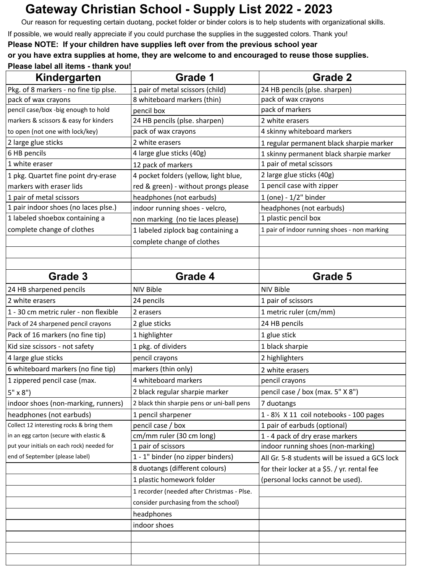## **Gateway Christian School - Supply List 2022 - 2023**

Our reason for requesting certain duotang, pocket folder or binder colors is to help students with organizational skills.

If possible, we would really appreciate if you could purchase the supplies in the suggested colors. Thank you!

**Please NOTE: If your children have supplies left over from the previous school year**

## **or you have extra supplies at home, they are welcome to and encouraged to reuse those supplies. Please label all items - thank you!**

| Grade 1                                    | <b>Grade 2</b>                                       |
|--------------------------------------------|------------------------------------------------------|
| 1 pair of metal scissors (child)           | 24 HB pencils (plse. sharpen)                        |
| 8 whiteboard markers (thin)                | pack of wax crayons                                  |
| pencil box                                 | pack of markers                                      |
| 24 HB pencils (plse. sharpen)              | 2 white erasers                                      |
| pack of wax crayons                        | 4 skinny whiteboard markers                          |
| 2 white erasers                            | 1 regular permanent black sharpie marker             |
| 4 large glue sticks (40g)                  | 1 skinny permanent black sharpie marker              |
| 12 pack of markers                         | 1 pair of metal scissors                             |
| 4 pocket folders (yellow, light blue,      | 2 large glue sticks (40g)                            |
| red & green) - without prongs please       | 1 pencil case with zipper                            |
| headphones (not earbuds)                   | 1 (one) - 1/2" binder                                |
| indoor running shoes - velcro,             | headphones (not earbuds)                             |
| non marking (no tie laces please)          | 1 plastic pencil box                                 |
| 1 labeled ziplock bag containing a         | 1 pair of indoor running shoes - non marking         |
| complete change of clothes                 |                                                      |
|                                            |                                                      |
|                                            |                                                      |
| Grade 4                                    | Grade 5                                              |
| <b>NIV Bible</b>                           | <b>NIV Bible</b>                                     |
| 24 pencils                                 | 1 pair of scissors                                   |
| 2 erasers                                  | 1 metric ruler (cm/mm)                               |
| 2 glue sticks                              | 24 HB pencils                                        |
| 1 highlighter                              | 1 glue stick                                         |
| 1 pkg. of dividers                         | 1 black sharpie                                      |
| pencil crayons                             | 2 highlighters                                       |
| markers (thin only)                        | 2 white erasers                                      |
| 4 whiteboard markers                       | pencil crayons                                       |
|                                            | pencil case / box (max. 5" X 8")                     |
| 2 black thin sharpie pens or uni-ball pens | 7 duotangs                                           |
|                                            | 1 - 8½ X 11 coil notebooks - 100 pages               |
| pencil case / box                          | 1 pair of earbuds (optional)                         |
| cm/mm ruler (30 cm long)                   | 1 - 4 pack of dry erase markers                      |
| 1 pair of scissors                         | indoor running shoes (non-marking)                   |
| 1 - 1" binder (no zipper binders)          | All Gr. 5-8 students will be issued a GCS lock       |
| 8 duotangs (different colours)             | for their locker at a \$5. / yr. rental fee          |
| 1 plastic homework folder                  | (personal locks cannot be used).                     |
| 1 recorder (needed after Christmas - Plse. |                                                      |
| consider purchasing from the school)       |                                                      |
| headphones                                 |                                                      |
| indoor shoes                               |                                                      |
|                                            |                                                      |
|                                            |                                                      |
|                                            |                                                      |
|                                            | 2 black regular sharpie marker<br>1 pencil sharpener |